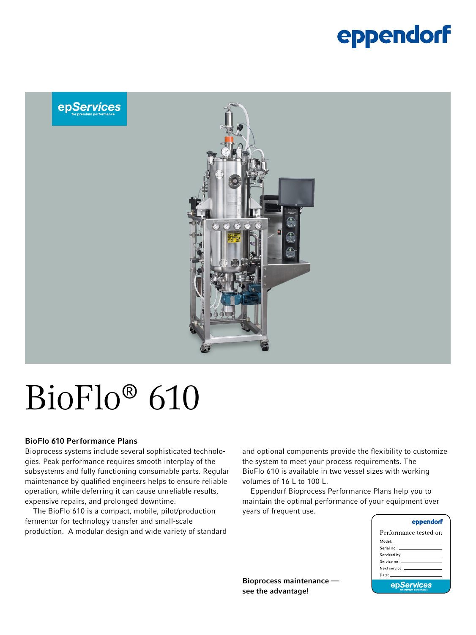### eppendorf



# BioFlo® 610

#### BioFlo 610 Performance Plans

Bioprocess systems include several sophisticated technologies. Peak performance requires smooth interplay of the subsystems and fully functioning consumable parts. Regular maintenance by qualified engineers helps to ensure reliable operation, while deferring it can cause unreliable results, expensive repairs, and prolonged downtime.

The BioFlo 610 is a compact, mobile, pilot/production fermentor for technology transfer and small-scale production. A modular design and wide variety of standard

and optional components provide the flexibility to customize the system to meet your process requirements. The BioFlo 610 is available in two vessel sizes with working volumes of 16 L to 100 L.

Eppendorf Bioprocess Performance Plans help you to maintain the optimal performance of your equipment over years of frequent use.

| eppendorf                                                                                                                                                                                                                     |
|-------------------------------------------------------------------------------------------------------------------------------------------------------------------------------------------------------------------------------|
| Performance tested on                                                                                                                                                                                                         |
|                                                                                                                                                                                                                               |
|                                                                                                                                                                                                                               |
|                                                                                                                                                                                                                               |
| Service no.: All and the service of the service of the service                                                                                                                                                                |
| Next service: The contract of the contract of the contract of the contract of the contract of the contract of the contract of the contract of the contract of the contract of the contract of the contract of the contract of |
| Date: The Committee of the Committee of the Committee of the Committee of the Committee of the Committee of the                                                                                                               |
| epServices                                                                                                                                                                                                                    |

Bioprocess maintenance see the advantage!